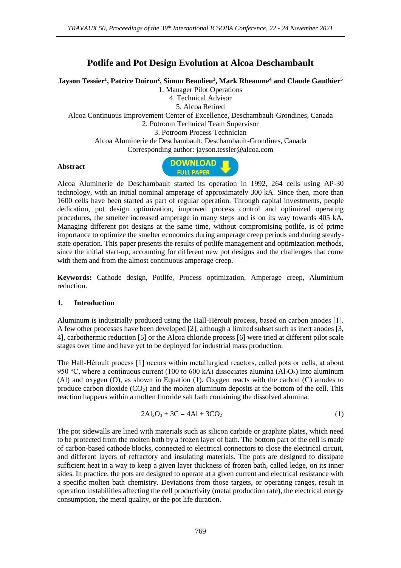# **Potlife and Pot Design Evolution at Alcoa Deschambault**

**Jayson Tessier<sup>1</sup> , Patrice Doiron<sup>2</sup> , Simon Beaulieu<sup>3</sup> , Mark Rheaume<sup>4</sup> and Claude Gauthier<sup>5</sup>**

1. Manager Pilot Operations

4. Technical Advisor

5. Alcoa Retired

Alcoa Continuous Improvement Center of Excellence, Deschambault-Grondines, Canada

2. Potroom Technical Team Supervisor

3. Potroom Process Technician

Alcoa Aluminerie de Deschambault, Deschambault-Grondines, Canada

Corresponding author: jayson.tessier@alcoa.com

#### **Abstract**



Alcoa Aluminerie de Deschambault started its operation in 1992, 264 cells using AP-30 technology, with an initial nominal amperage of approximately 300 kA. Since then, more than 1600 cells have been started as part of regular operation. Through capital investments, people dedication, pot design optimization, improved process control and optimized operating procedures, the smelter increased amperage in many steps and is on its way towards 405 kA. Managing different pot designs at the same time, without compromising potlife, is of prime importance to optimize the smelter economics during amperage creep periods and during steadystate operation. This paper presents the results of potlife management and optimization methods, since the initial start-up, accounting for different new pot designs and the challenges that come with them and from the almost continuous amperage creep.

**Keywords:** Cathode design, Potlife, Process optimization, Amperage creep, Aluminium reduction.

#### **1. Introduction**

Aluminum is industrially produced using the Hall-Héroult process, based on carbon anodes [1]. A few other processes have been developed [2], although a limited subset such as inert anodes [3, 4], carbothermic reduction [5] or the Alcoa chloride process [6] were tried at different pilot scale stages over time and have yet to be deployed for industrial mass production.

The Hall-Héroult process [1] occurs within metallurgical reactors, called pots or cells, at about 950 °C, where a continuous current (100 to 600 kA) dissociates alumina ( $Al_2O_3$ ) into aluminum (Al) and oxygen (O), as shown in Equation (1). Oxygen reacts with the carbon (C) anodes to produce carbon dioxide  $(CO_2)$  and the molten aluminum deposits at the bottom of the cell. This reaction happens within a molten fluoride salt bath containing the dissolved alumina.

$$
2Al2O3 + 3C = 4Al + 3CO2
$$
 (1)

The pot sidewalls are lined with materials such as silicon carbide or graphite plates, which need to be protected from the molten bath by a frozen layer of bath. The bottom part of the cell is made of carbon-based cathode blocks, connected to electrical connectors to close the electrical circuit, and different layers of refractory and insulating materials. The pots are designed to dissipate sufficient heat in a way to keep a given layer thickness of frozen bath, called ledge, on its inner sides. In practice, the pots are designed to operate at a given current and electrical resistance with a specific molten bath chemistry. Deviations from those targets, or operating ranges, result in operation instabilities affecting the cell productivity (metal production rate), the electrical energy consumption, the metal quality, or the pot life duration.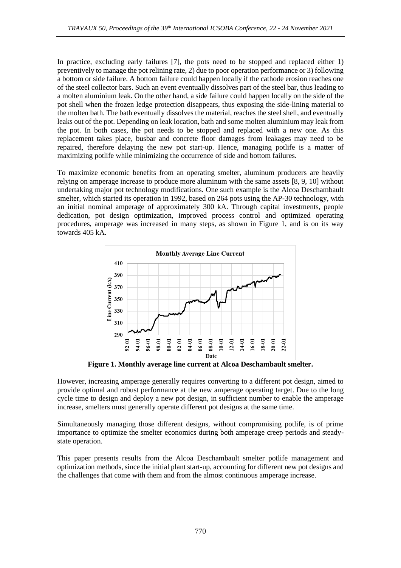In practice, excluding early failures [7], the pots need to be stopped and replaced either 1) preventively to manage the pot relining rate, 2) due to poor operation performance or 3) following a bottom or side failure. A bottom failure could happen locally if the cathode erosion reaches one of the steel collector bars. Such an event eventually dissolves part of the steel bar, thus leading to a molten aluminium leak. On the other hand, a side failure could happen locally on the side of the pot shell when the frozen ledge protection disappears, thus exposing the side-lining material to the molten bath. The bath eventually dissolves the material, reaches the steel shell, and eventually leaks out of the pot. Depending on leak location, bath and some molten aluminium may leak from the pot. In both cases, the pot needs to be stopped and replaced with a new one. As this replacement takes place, busbar and concrete floor damages from leakages may need to be repaired, therefore delaying the new pot start-up. Hence, managing potlife is a matter of maximizing potlife while minimizing the occurrence of side and bottom failures.

To maximize economic benefits from an operating smelter, aluminum producers are heavily relying on amperage increase to produce more aluminum with the same assets [8, 9, 10] without undertaking major pot technology modifications. One such example is the Alcoa Deschambault smelter, which started its operation in 1992, based on 264 pots using the AP-30 technology, with an initial nominal amperage of approximately 300 kA. Through capital investments, people dedication, pot design optimization, improved process control and optimized operating procedures, amperage was increased in many steps, as shown in Figure 1, and is on its way towards 405 kA.



**Figure 1. Monthly average line current at Alcoa Deschambault smelter.** 

However, increasing amperage generally requires converting to a different pot design, aimed to provide optimal and robust performance at the new amperage operating target. Due to the long cycle time to design and deploy a new pot design, in sufficient number to enable the amperage increase, smelters must generally operate different pot designs at the same time.

Simultaneously managing those different designs, without compromising potlife, is of prime importance to optimize the smelter economics during both amperage creep periods and steadystate operation.

This paper presents results from the Alcoa Deschambault smelter potlife management and optimization methods, since the initial plant start-up, accounting for different new pot designs and the challenges that come with them and from the almost continuous amperage increase.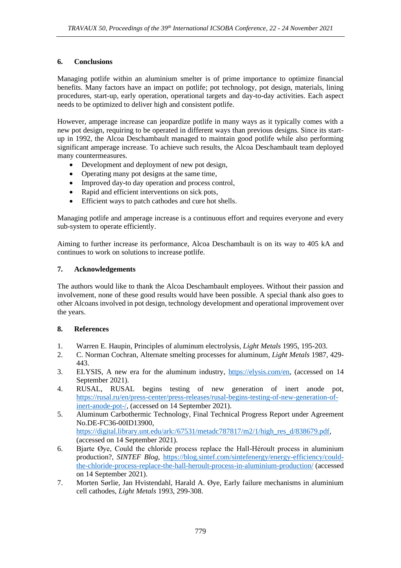## **6. Conclusions**

Managing potlife within an aluminium smelter is of prime importance to optimize financial benefits. Many factors have an impact on potlife; pot technology, pot design, materials, lining procedures, start-up, early operation, operational targets and day-to-day activities. Each aspect needs to be optimized to deliver high and consistent potlife.

However, amperage increase can jeopardize potlife in many ways as it typically comes with a new pot design, requiring to be operated in different ways than previous designs. Since its startup in 1992, the Alcoa Deschambault managed to maintain good potlife while also performing significant amperage increase. To achieve such results, the Alcoa Deschambault team deployed many countermeasures.

- Development and deployment of new pot design,
- Operating many pot designs at the same time,
- Improved day-to day operation and process control,
- Rapid and efficient interventions on sick pots,
- Efficient ways to patch cathodes and cure hot shells.

Managing potlife and amperage increase is a continuous effort and requires everyone and every sub-system to operate efficiently.

Aiming to further increase its performance, Alcoa Deschambault is on its way to 405 kA and continues to work on solutions to increase potlife.

#### **7. Acknowledgements**

The authors would like to thank the Alcoa Deschambault employees. Without their passion and involvement, none of these good results would have been possible. A special thank also goes to other Alcoans involved in pot design, technology development and operational improvement over the years.

## **8. References**

- 1. Warren E. Haupin, Principles of aluminum electrolysis, *Light Metals* 1995, 195-203.
- 2. C. Norman Cochran, Alternate smelting processes for aluminum, *Light Metals* 1987, 429- 443.
- 3. ELYSIS, A new era for the aluminum industry, [https://elysis.com/en,](https://elysis.com/en) (accessed on 14 September 2021).
- 4. RUSAL, RUSAL begins testing of new generation of inert anode pot, [https://rusal.ru/en/press-center/press-releases/rusal-begins-testing-of-new-generation-of](https://rusal.ru/en/press-center/press-releases/rusal-begins-testing-of-new-generation-of-inert-anode-pot-/)[inert-anode-pot-/,](https://rusal.ru/en/press-center/press-releases/rusal-begins-testing-of-new-generation-of-inert-anode-pot-/) (accessed on 14 September 2021).
- 5. Aluminum Carbothermic Technology, Final Technical Progress Report under Agreement No.DE-FC36-00ID13900, [https://digital.library.unt.edu/ark:/67531/metadc787817/m2/1/high\\_res\\_d/838679.pdf,](https://digital.library.unt.edu/ark:/67531/metadc787817/m2/1/high_res_d/838679.pdf) (accessed on 14 September 2021).
- 6. Bjarte Øye, Could the chloride process replace the Hall-Héroult process in aluminium production?, *SINTEF Blog*, [https://blog.sintef.com/sintefenergy/energy-efficiency/could](https://blog.sintef.com/sintefenergy/energy-efficiency/could-the-chloride-process-replace-the-hall-heroult-process-in-aluminium-production/)[the-chloride-process-replace-the-hall-heroult-process-in-aluminium-production/](https://blog.sintef.com/sintefenergy/energy-efficiency/could-the-chloride-process-replace-the-hall-heroult-process-in-aluminium-production/) (accessed on 14 September 2021).
- 7. Morten Sørlie, Jan Hvistendahl, Harald A. Øye, Early failure mechanisms in aluminium cell cathodes, *Light Metals* 1993, 299-308.